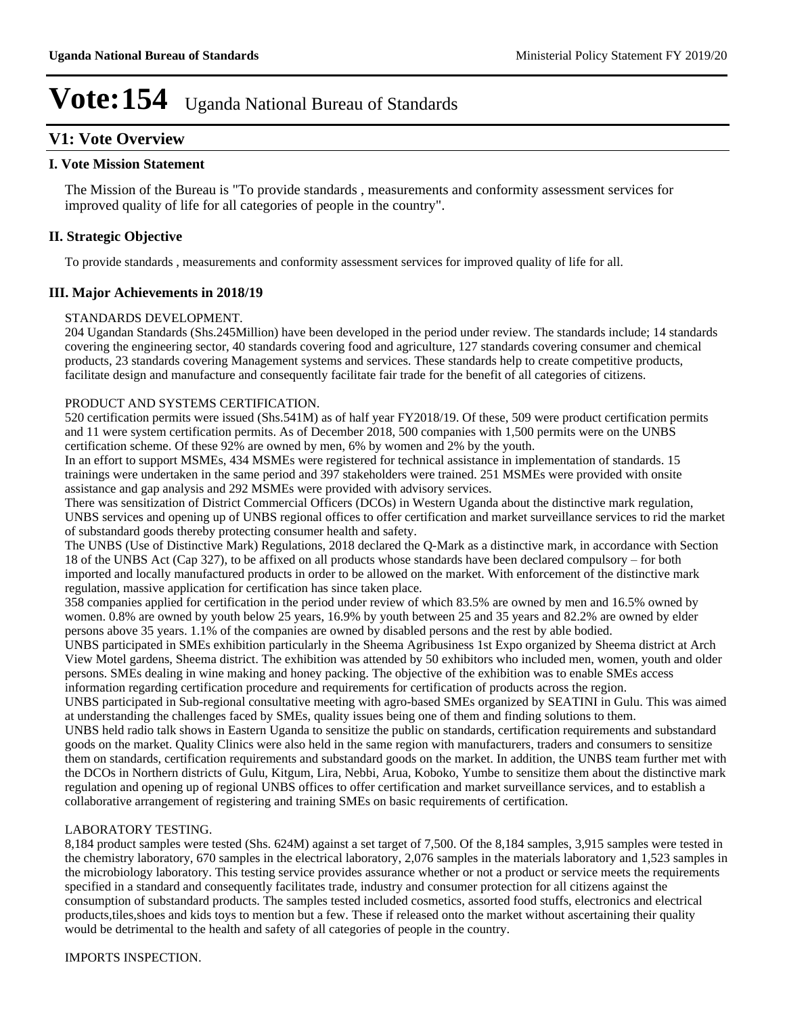## **V1: Vote Overview**

## **I. Vote Mission Statement**

The Mission of the Bureau is "To provide standards , measurements and conformity assessment services for improved quality of life for all categories of people in the country".

## **II. Strategic Objective**

To provide standards , measurements and conformity assessment services for improved quality of life for all.

## **III. Major Achievements in 2018/19**

### STANDARDS DEVELOPMENT.

204 Ugandan Standards (Shs.245Million) have been developed in the period under review. The standards include; 14 standards covering the engineering sector, 40 standards covering food and agriculture, 127 standards covering consumer and chemical products, 23 standards covering Management systems and services. These standards help to create competitive products, facilitate design and manufacture and consequently facilitate fair trade for the benefit of all categories of citizens.

### PRODUCT AND SYSTEMS CERTIFICATION.

520 certification permits were issued (Shs.541M) as of half year FY2018/19. Of these, 509 were product certification permits and 11 were system certification permits. As of December 2018, 500 companies with 1,500 permits were on the UNBS certification scheme. Of these 92% are owned by men, 6% by women and 2% by the youth.

In an effort to support MSMEs, 434 MSMEs were registered for technical assistance in implementation of standards. 15 trainings were undertaken in the same period and 397 stakeholders were trained. 251 MSMEs were provided with onsite assistance and gap analysis and 292 MSMEs were provided with advisory services.

There was sensitization of District Commercial Officers (DCOs) in Western Uganda about the distinctive mark regulation, UNBS services and opening up of UNBS regional offices to offer certification and market surveillance services to rid the market of substandard goods thereby protecting consumer health and safety.

The UNBS (Use of Distinctive Mark) Regulations, 2018 declared the Q-Mark as a distinctive mark, in accordance with Section 18 of the UNBS Act (Cap 327), to be affixed on all products whose standards have been declared compulsory – for both imported and locally manufactured products in order to be allowed on the market. With enforcement of the distinctive mark regulation, massive application for certification has since taken place.

358 companies applied for certification in the period under review of which 83.5% are owned by men and 16.5% owned by women. 0.8% are owned by youth below 25 years, 16.9% by youth between 25 and 35 years and 82.2% are owned by elder persons above 35 years. 1.1% of the companies are owned by disabled persons and the rest by able bodied.

UNBS participated in SMEs exhibition particularly in the Sheema Agribusiness 1st Expo organized by Sheema district at Arch View Motel gardens, Sheema district. The exhibition was attended by 50 exhibitors who included men, women, youth and older persons. SMEs dealing in wine making and honey packing. The objective of the exhibition was to enable SMEs access information regarding certification procedure and requirements for certification of products across the region.

UNBS participated in Sub-regional consultative meeting with agro-based SMEs organized by SEATINI in Gulu. This was aimed at understanding the challenges faced by SMEs, quality issues being one of them and finding solutions to them.

UNBS held radio talk shows in Eastern Uganda to sensitize the public on standards, certification requirements and substandard goods on the market. Quality Clinics were also held in the same region with manufacturers, traders and consumers to sensitize them on standards, certification requirements and substandard goods on the market. In addition, the UNBS team further met with the DCOs in Northern districts of Gulu, Kitgum, Lira, Nebbi, Arua, Koboko, Yumbe to sensitize them about the distinctive mark regulation and opening up of regional UNBS offices to offer certification and market surveillance services, and to establish a collaborative arrangement of registering and training SMEs on basic requirements of certification.

### LABORATORY TESTING.

8,184 product samples were tested (Shs. 624M) against a set target of 7,500. Of the 8,184 samples, 3,915 samples were tested in the chemistry laboratory, 670 samples in the electrical laboratory, 2,076 samples in the materials laboratory and 1,523 samples in the microbiology laboratory. This testing service provides assurance whether or not a product or service meets the requirements specified in a standard and consequently facilitates trade, industry and consumer protection for all citizens against the consumption of substandard products. The samples tested included cosmetics, assorted food stuffs, electronics and electrical products,tiles,shoes and kids toys to mention but a few. These if released onto the market without ascertaining their quality would be detrimental to the health and safety of all categories of people in the country.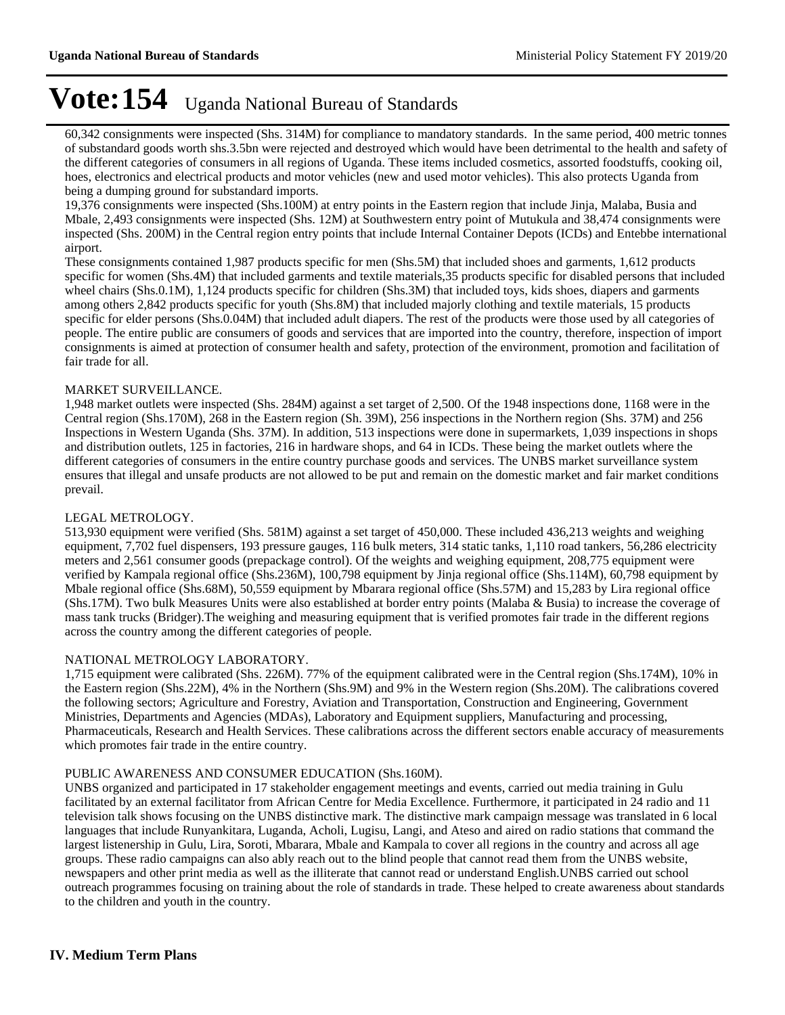60,342 consignments were inspected (Shs. 314M) for compliance to mandatory standards. In the same period, 400 metric tonnes of substandard goods worth shs.3.5bn were rejected and destroyed which would have been detrimental to the health and safety of the different categories of consumers in all regions of Uganda. These items included cosmetics, assorted foodstuffs, cooking oil, hoes, electronics and electrical products and motor vehicles (new and used motor vehicles). This also protects Uganda from being a dumping ground for substandard imports.

19,376 consignments were inspected (Shs.100M) at entry points in the Eastern region that include Jinja, Malaba, Busia and Mbale, 2,493 consignments were inspected (Shs. 12M) at Southwestern entry point of Mutukula and 38,474 consignments were inspected (Shs. 200M) in the Central region entry points that include Internal Container Depots (ICDs) and Entebbe international airport.

These consignments contained 1,987 products specific for men (Shs.5M) that included shoes and garments, 1,612 products specific for women (Shs.4M) that included garments and textile materials,35 products specific for disabled persons that included wheel chairs (Shs.0.1M), 1,124 products specific for children (Shs.3M) that included toys, kids shoes, diapers and garments among others 2,842 products specific for youth (Shs.8M) that included majorly clothing and textile materials, 15 products specific for elder persons (Shs.0.04M) that included adult diapers. The rest of the products were those used by all categories of people. The entire public are consumers of goods and services that are imported into the country, therefore, inspection of import consignments is aimed at protection of consumer health and safety, protection of the environment, promotion and facilitation of fair trade for all.

### MARKET SURVEILLANCE.

1,948 market outlets were inspected (Shs. 284M) against a set target of 2,500. Of the 1948 inspections done, 1168 were in the Central region (Shs.170M), 268 in the Eastern region (Sh. 39M), 256 inspections in the Northern region (Shs. 37M) and 256 Inspections in Western Uganda (Shs. 37M). In addition, 513 inspections were done in supermarkets, 1,039 inspections in shops and distribution outlets, 125 in factories, 216 in hardware shops, and 64 in ICDs. These being the market outlets where the different categories of consumers in the entire country purchase goods and services. The UNBS market surveillance system ensures that illegal and unsafe products are not allowed to be put and remain on the domestic market and fair market conditions prevail.

### LEGAL METROLOGY.

513,930 equipment were verified (Shs. 581M) against a set target of 450,000. These included 436,213 weights and weighing equipment, 7,702 fuel dispensers, 193 pressure gauges, 116 bulk meters, 314 static tanks, 1,110 road tankers, 56,286 electricity meters and 2,561 consumer goods (prepackage control). Of the weights and weighing equipment, 208,775 equipment were verified by Kampala regional office (Shs.236M), 100,798 equipment by Jinja regional office (Shs.114M), 60,798 equipment by Mbale regional office (Shs.68M), 50,559 equipment by Mbarara regional office (Shs.57M) and 15,283 by Lira regional office (Shs.17M). Two bulk Measures Units were also established at border entry points (Malaba & Busia) to increase the coverage of mass tank trucks (Bridger).The weighing and measuring equipment that is verified promotes fair trade in the different regions across the country among the different categories of people.

### NATIONAL METROLOGY LABORATORY.

1,715 equipment were calibrated (Shs. 226M). 77% of the equipment calibrated were in the Central region (Shs.174M), 10% in the Eastern region (Shs.22M), 4% in the Northern (Shs.9M) and 9% in the Western region (Shs.20M). The calibrations covered the following sectors; Agriculture and Forestry, Aviation and Transportation, Construction and Engineering, Government Ministries, Departments and Agencies (MDAs), Laboratory and Equipment suppliers, Manufacturing and processing, Pharmaceuticals, Research and Health Services. These calibrations across the different sectors enable accuracy of measurements which promotes fair trade in the entire country.

### PUBLIC AWARENESS AND CONSUMER EDUCATION (Shs.160M).

UNBS organized and participated in 17 stakeholder engagement meetings and events, carried out media training in Gulu facilitated by an external facilitator from African Centre for Media Excellence. Furthermore, it participated in 24 radio and 11 television talk shows focusing on the UNBS distinctive mark. The distinctive mark campaign message was translated in 6 local languages that include Runyankitara, Luganda, Acholi, Lugisu, Langi, and Ateso and aired on radio stations that command the largest listenership in Gulu, Lira, Soroti, Mbarara, Mbale and Kampala to cover all regions in the country and across all age groups. These radio campaigns can also ably reach out to the blind people that cannot read them from the UNBS website, newspapers and other print media as well as the illiterate that cannot read or understand English.UNBS carried out school outreach programmes focusing on training about the role of standards in trade. These helped to create awareness about standards to the children and youth in the country.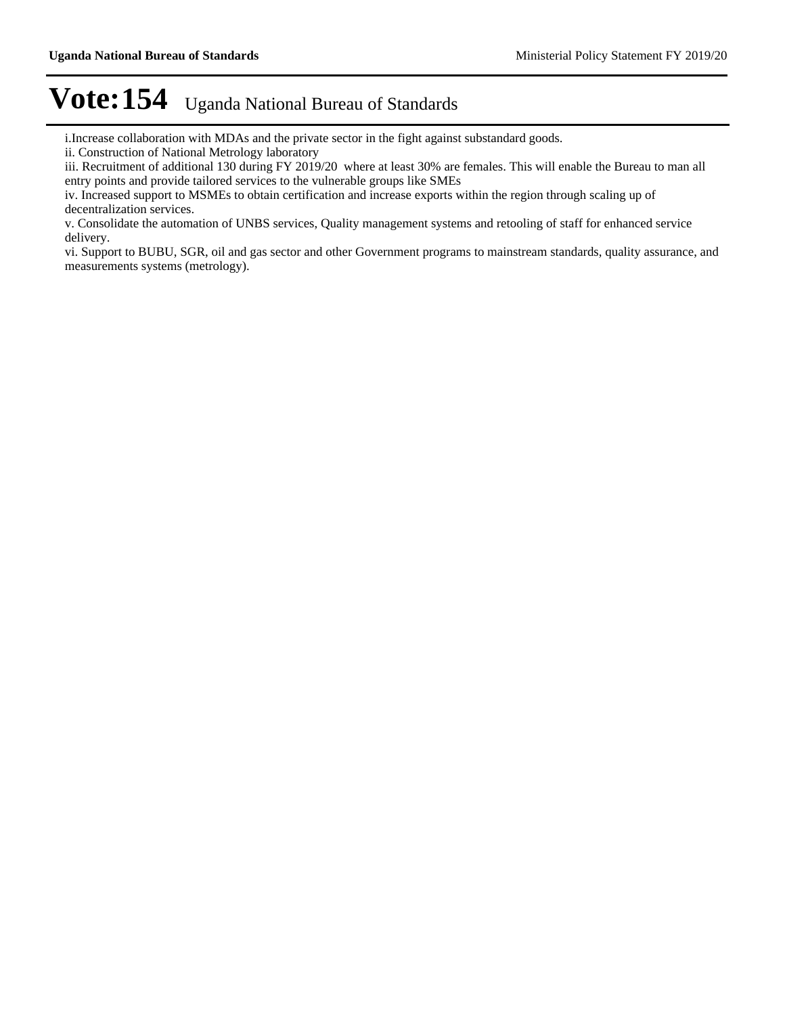i.Increase collaboration with MDAs and the private sector in the fight against substandard goods.

ii. Construction of National Metrology laboratory

iii. Recruitment of additional 130 during FY 2019/20 where at least 30% are females. This will enable the Bureau to man all entry points and provide tailored services to the vulnerable groups like SMEs

iv. Increased support to MSMEs to obtain certification and increase exports within the region through scaling up of decentralization services.

v. Consolidate the automation of UNBS services, Quality management systems and retooling of staff for enhanced service delivery.

vi. Support to BUBU, SGR, oil and gas sector and other Government programs to mainstream standards, quality assurance, and measurements systems (metrology).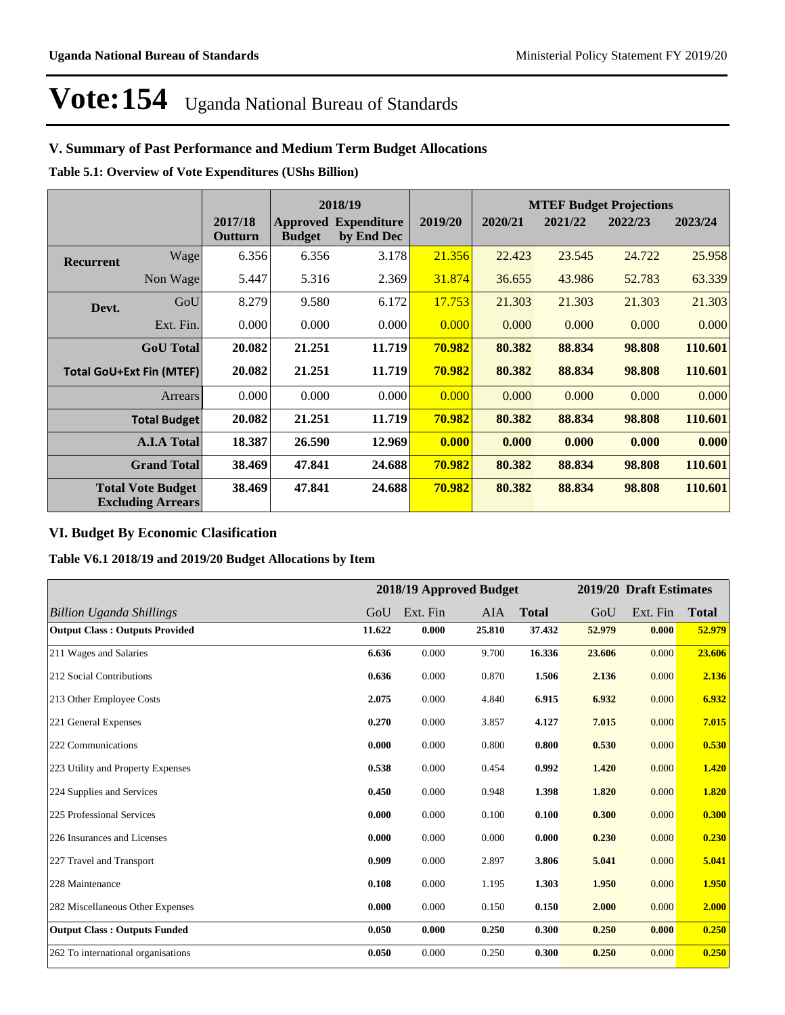## **V. Summary of Past Performance and Medium Term Budget Allocations**

**Table 5.1: Overview of Vote Expenditures (UShs Billion)**

|                  |                                                      |                    |               | 2018/19                                   |         | <b>MTEF Budget Projections</b> |         |         |         |
|------------------|------------------------------------------------------|--------------------|---------------|-------------------------------------------|---------|--------------------------------|---------|---------|---------|
|                  |                                                      | 2017/18<br>Outturn | <b>Budget</b> | <b>Approved Expenditure</b><br>by End Dec | 2019/20 | 2020/21                        | 2021/22 | 2022/23 | 2023/24 |
| <b>Recurrent</b> | Wage                                                 | 6.356              | 6.356         | 3.178                                     | 21.356  | 22.423                         | 23.545  | 24.722  | 25.958  |
|                  | Non Wage                                             | 5.447              | 5.316         | 2.369                                     | 31.874  | 36.655                         | 43.986  | 52.783  | 63.339  |
| Devt.            | GoU                                                  | 8.279              | 9.580         | 6.172                                     | 17.753  | 21.303                         | 21.303  | 21.303  | 21.303  |
|                  | Ext. Fin.                                            | 0.000              | 0.000         | 0.000                                     | 0.000   | 0.000                          | 0.000   | 0.000   | 0.000   |
|                  | <b>GoU</b> Total                                     | 20.082             | 21.251        | 11.719                                    | 70.982  | 80.382                         | 88.834  | 98.808  | 110.601 |
|                  | <b>Total GoU+Ext Fin (MTEF)</b>                      | 20.082             | 21.251        | 11.719                                    | 70.982  | 80.382                         | 88.834  | 98.808  | 110.601 |
|                  | <b>Arrears</b>                                       | 0.000              | 0.000         | 0.000                                     | 0.000   | 0.000                          | 0.000   | 0.000   | 0.000   |
|                  | <b>Total Budget</b>                                  | 20.082             | 21.251        | 11.719                                    | 70.982  | 80.382                         | 88.834  | 98.808  | 110.601 |
|                  | <b>A.I.A Total</b>                                   | 18.387             | 26.590        | 12.969                                    | 0.000   | 0.000                          | 0.000   | 0.000   | 0.000   |
|                  | <b>Grand Total</b>                                   | 38.469             | 47.841        | 24.688                                    | 70.982  | 80.382                         | 88.834  | 98.808  | 110.601 |
|                  | <b>Total Vote Budget</b><br><b>Excluding Arrears</b> | 38.469             | 47.841        | 24.688                                    | 70.982  | 80.382                         | 88.834  | 98.808  | 110.601 |

## **VI. Budget By Economic Clasification**

**Table V6.1 2018/19 and 2019/20 Budget Allocations by Item**

|                                       |        |          | 2018/19 Approved Budget |              |        | 2019/20 Draft Estimates |              |
|---------------------------------------|--------|----------|-------------------------|--------------|--------|-------------------------|--------------|
| <b>Billion Uganda Shillings</b>       | GoU    | Ext. Fin | <b>AIA</b>              | <b>Total</b> | GoU    | Ext. Fin                | <b>Total</b> |
| <b>Output Class: Outputs Provided</b> | 11.622 | 0.000    | 25.810                  | 37.432       | 52.979 | 0.000                   | 52.979       |
| 211 Wages and Salaries                | 6.636  | 0.000    | 9.700                   | 16.336       | 23.606 | 0.000                   | 23.606       |
| 212 Social Contributions              | 0.636  | 0.000    | 0.870                   | 1.506        | 2.136  | 0.000                   | 2.136        |
| 213 Other Employee Costs              | 2.075  | 0.000    | 4.840                   | 6.915        | 6.932  | 0.000                   | 6.932        |
| 221 General Expenses                  | 0.270  | 0.000    | 3.857                   | 4.127        | 7.015  | 0.000                   | 7.015        |
| 222 Communications                    | 0.000  | 0.000    | 0.800                   | 0.800        | 0.530  | 0.000                   | 0.530        |
| 223 Utility and Property Expenses     | 0.538  | 0.000    | 0.454                   | 0.992        | 1.420  | 0.000                   | 1.420        |
| 224 Supplies and Services             | 0.450  | 0.000    | 0.948                   | 1.398        | 1.820  | 0.000                   | 1.820        |
| 225 Professional Services             | 0.000  | 0.000    | 0.100                   | 0.100        | 0.300  | 0.000                   | 0.300        |
| 226 Insurances and Licenses           | 0.000  | 0.000    | 0.000                   | 0.000        | 0.230  | 0.000                   | 0.230        |
| 227 Travel and Transport              | 0.909  | 0.000    | 2.897                   | 3.806        | 5.041  | 0.000                   | 5.041        |
| 228 Maintenance                       | 0.108  | 0.000    | 1.195                   | 1.303        | 1.950  | 0.000                   | 1.950        |
| 282 Miscellaneous Other Expenses      | 0.000  | 0.000    | 0.150                   | 0.150        | 2.000  | 0.000                   | 2.000        |
| <b>Output Class: Outputs Funded</b>   | 0.050  | 0.000    | 0.250                   | 0.300        | 0.250  | 0.000                   | 0.250        |
| 262 To international organisations    | 0.050  | 0.000    | 0.250                   | 0.300        | 0.250  | 0.000                   | 0.250        |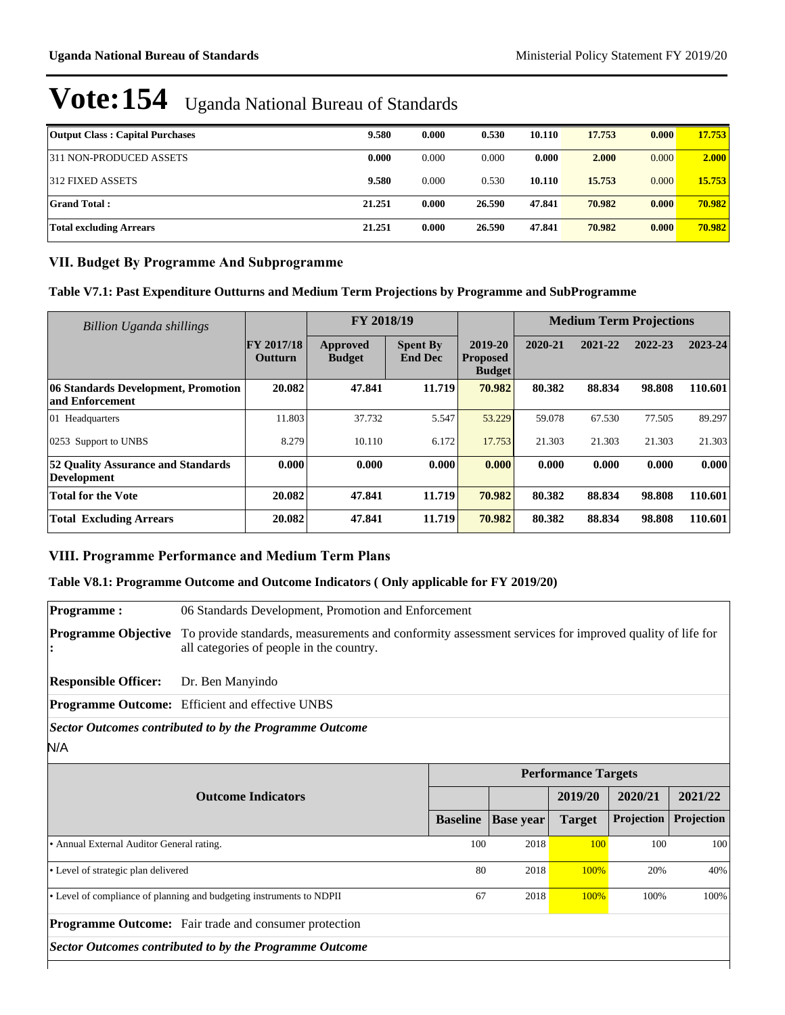| <b>Output Class: Capital Purchases</b> | 9.580  | 0.000 | 0.530  | 10.110 | 17.753 | 0.000 | 17.753 |
|----------------------------------------|--------|-------|--------|--------|--------|-------|--------|
| 311 NON-PRODUCED ASSETS                | 0.000  | 0.000 | 0.000  | 0.000  | 2.000  | 0.000 | 2.000  |
| 1312 FIXED ASSETS                      | 9.580  | 0.000 | 0.530  | 10.110 | 15.753 | 0.000 | 15.753 |
| <b>Grand Total:</b>                    | 21.251 | 0.000 | 26.590 | 47.841 | 70.982 | 0.000 | 70.982 |
| Total excluding Arrears                | 21.251 | 0.000 | 26.590 | 47.841 | 70.982 | 0.000 | 70.982 |

## **VII. Budget By Programme And Subprogramme**

## **Table V7.1: Past Expenditure Outturns and Medium Term Projections by Programme and SubProgramme**

| <b>Billion Uganda shillings</b>                          |                                     | FY 2018/19                |                                   |                                             | <b>Medium Term Projections</b> |         |         |         |
|----------------------------------------------------------|-------------------------------------|---------------------------|-----------------------------------|---------------------------------------------|--------------------------------|---------|---------|---------|
|                                                          | <b>FY 2017/18</b><br><b>Outturn</b> | Approved<br><b>Budget</b> | <b>Spent By</b><br><b>End Dec</b> | 2019-20<br><b>Proposed</b><br><b>Budget</b> | 2020-21                        | 2021-22 | 2022-23 | 2023-24 |
| 06 Standards Development, Promotion<br>and Enforcement   | 20.082                              | 47.841                    | 11.719                            | 70.982                                      | 80.382                         | 88.834  | 98.808  | 110.601 |
| 01 Headquarters                                          | 11.803                              | 37.732                    | 5.547                             | 53.229                                      | 59.078                         | 67.530  | 77.505  | 89.297  |
| 0253 Support to UNBS                                     | 8.279                               | 10.110                    | 6.172                             | 17.753                                      | 21.303                         | 21.303  | 21.303  | 21.303  |
| 52 Quality Assurance and Standards<br><b>Development</b> | 0.000                               | 0.000                     | 0.000                             | 0.000                                       | 0.000                          | 0.000   | 0.000   | 0.000   |
| <b>Total for the Vote</b>                                | 20.082                              | 47.841                    | 11.719                            | 70.982                                      | 80.382                         | 88.834  | 98.808  | 110.601 |
| <b>Total Excluding Arrears</b>                           | 20.082                              | 47.841                    | 11.719                            | 70.982                                      | 80.382                         | 88.834  | 98.808  | 110.601 |

## **VIII. Programme Performance and Medium Term Plans**

## **Table V8.1: Programme Outcome and Outcome Indicators ( Only applicable for FY 2019/20)**

| <b>Programme:</b>                         | 06 Standards Development, Promotion and Enforcement                                                                                                |                 |                  |                            |            |            |  |  |  |
|-------------------------------------------|----------------------------------------------------------------------------------------------------------------------------------------------------|-----------------|------------------|----------------------------|------------|------------|--|--|--|
| <b>Programme Objective</b>                | To provide standards, measurements and conformity assessment services for improved quality of life for<br>all categories of people in the country. |                 |                  |                            |            |            |  |  |  |
| <b>Responsible Officer:</b>               | Dr. Ben Manyindo                                                                                                                                   |                 |                  |                            |            |            |  |  |  |
|                                           | <b>Programme Outcome:</b> Efficient and effective UNBS                                                                                             |                 |                  |                            |            |            |  |  |  |
|                                           | <b>Sector Outcomes contributed to by the Programme Outcome</b>                                                                                     |                 |                  |                            |            |            |  |  |  |
| N/A                                       |                                                                                                                                                    |                 |                  |                            |            |            |  |  |  |
|                                           |                                                                                                                                                    |                 |                  | <b>Performance Targets</b> |            |            |  |  |  |
|                                           | <b>Outcome Indicators</b>                                                                                                                          |                 |                  | 2019/20                    | 2020/21    | 2021/22    |  |  |  |
|                                           |                                                                                                                                                    | <b>Baseline</b> | <b>Base year</b> | <b>Target</b>              | Projection | Projection |  |  |  |
| • Annual External Auditor General rating. |                                                                                                                                                    | 100             | 2018             | 100                        | 100        | 100        |  |  |  |
| • Level of strategic plan delivered       |                                                                                                                                                    | 80              | 2018             | 100%                       | 20%        | 40%        |  |  |  |
|                                           | • Level of compliance of planning and budgeting instruments to NDPII                                                                               | 67              | 2018             | 100%                       | 100%       | 100%       |  |  |  |
|                                           | Programme Outcome: Fair trade and consumer protection                                                                                              |                 |                  |                            |            |            |  |  |  |
|                                           | <b>Sector Outcomes contributed to by the Programme Outcome</b>                                                                                     |                 |                  |                            |            |            |  |  |  |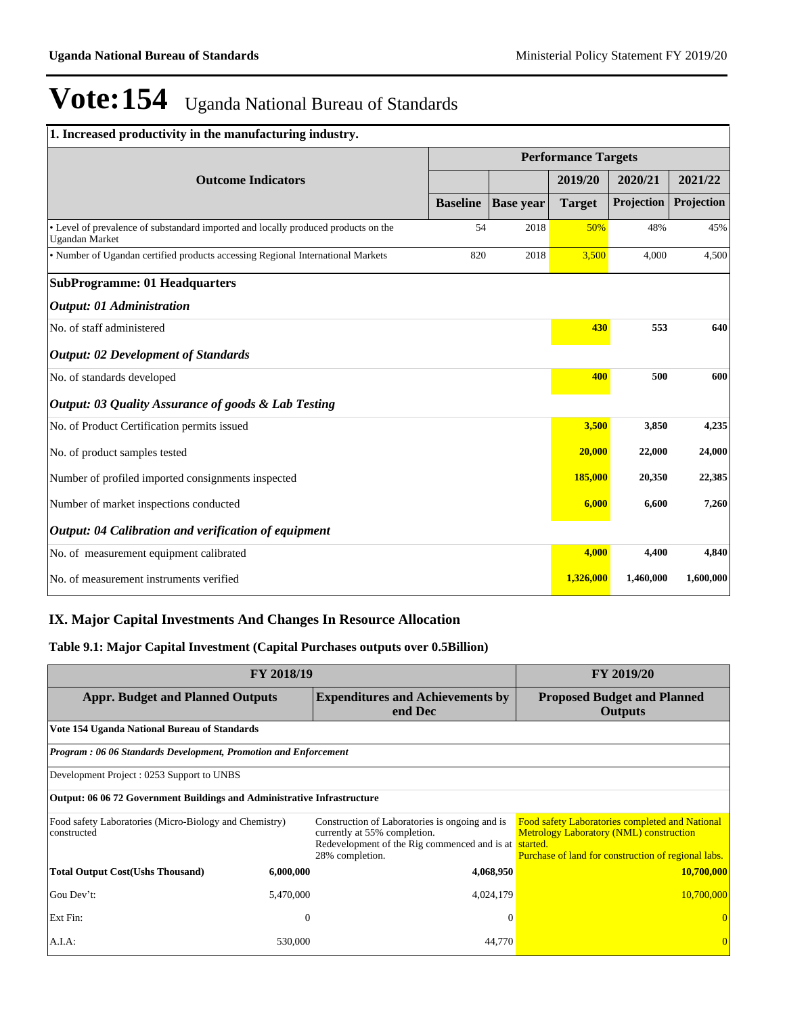| 1. Increased productivity in the manufacturing industry.                                                    |                            |                  |               |            |            |
|-------------------------------------------------------------------------------------------------------------|----------------------------|------------------|---------------|------------|------------|
|                                                                                                             | <b>Performance Targets</b> |                  |               |            |            |
| <b>Outcome Indicators</b>                                                                                   |                            |                  | 2019/20       | 2020/21    | 2021/22    |
|                                                                                                             | <b>Baseline</b>            | <b>Base year</b> | <b>Target</b> | Projection | Projection |
| • Level of prevalence of substandard imported and locally produced products on the<br><b>Ugandan Market</b> | 54                         | 2018             | 50%           | 48%        | 45%        |
| • Number of Ugandan certified products accessing Regional International Markets                             | 820                        | 2018             | 3,500         | 4,000      | 4,500      |
| <b>SubProgramme: 01 Headquarters</b>                                                                        |                            |                  |               |            |            |
| <b>Output: 01 Administration</b>                                                                            |                            |                  |               |            |            |
| No. of staff administered                                                                                   |                            |                  | 430           | 553        | 640        |
| <b>Output: 02 Development of Standards</b>                                                                  |                            |                  |               |            |            |
| No. of standards developed                                                                                  |                            |                  | 400           | 500        | 600        |
| Output: 03 Quality Assurance of goods & Lab Testing                                                         |                            |                  |               |            |            |
| No. of Product Certification permits issued                                                                 |                            |                  | 3,500         | 3,850      | 4,235      |
| No. of product samples tested                                                                               |                            |                  | 20,000        | 22,000     | 24,000     |
| Number of profiled imported consignments inspected                                                          |                            |                  | 185,000       | 20,350     | 22,385     |
| Number of market inspections conducted                                                                      |                            |                  | 6,000         | 6,600      | 7,260      |
| Output: 04 Calibration and verification of equipment                                                        |                            |                  |               |            |            |
| No. of measurement equipment calibrated                                                                     |                            |                  | 4,000         | 4,400      | 4,840      |
| No. of measurement instruments verified                                                                     |                            |                  | 1,326,000     | 1,460,000  | 1,600,000  |

## **IX. Major Capital Investments And Changes In Resource Allocation**

### **Table 9.1: Major Capital Investment (Capital Purchases outputs over 0.5Billion)**

|                                                                                | <b>FY 2019/20</b>                                               |                                                                                                                                                            |                                                                                                                                                                 |  |  |  |  |  |
|--------------------------------------------------------------------------------|-----------------------------------------------------------------|------------------------------------------------------------------------------------------------------------------------------------------------------------|-----------------------------------------------------------------------------------------------------------------------------------------------------------------|--|--|--|--|--|
| <b>Appr. Budget and Planned Outputs</b>                                        |                                                                 | <b>Expenditures and Achievements by</b><br>end Dec                                                                                                         | <b>Proposed Budget and Planned</b><br>Outputs                                                                                                                   |  |  |  |  |  |
| Vote 154 Uganda National Bureau of Standards                                   |                                                                 |                                                                                                                                                            |                                                                                                                                                                 |  |  |  |  |  |
|                                                                                | Program: 06 06 Standards Development, Promotion and Enforcement |                                                                                                                                                            |                                                                                                                                                                 |  |  |  |  |  |
| Development Project : 0253 Support to UNBS                                     |                                                                 |                                                                                                                                                            |                                                                                                                                                                 |  |  |  |  |  |
| <b>Output: 06 06 72 Government Buildings and Administrative Infrastructure</b> |                                                                 |                                                                                                                                                            |                                                                                                                                                                 |  |  |  |  |  |
| Food safety Laboratories (Micro-Biology and Chemistry)<br>constructed          |                                                                 | Construction of Laboratories is ongoing and is<br>currently at 55% completion.<br>Redevelopment of the Rig commenced and is at started.<br>28% completion. | <b>Food safety Laboratories completed and National</b><br><b>Metrology Laboratory (NML) construction</b><br>Purchase of land for construction of regional labs. |  |  |  |  |  |
| <b>Total Output Cost(Ushs Thousand)</b>                                        | 6,000,000                                                       | 4,068,950                                                                                                                                                  | 10,700,000                                                                                                                                                      |  |  |  |  |  |
| Gou Dev't:                                                                     | 5,470,000                                                       | 4,024,179                                                                                                                                                  | 10,700,000                                                                                                                                                      |  |  |  |  |  |
| Ext Fin:                                                                       | $\overline{0}$                                                  | $\Omega$                                                                                                                                                   |                                                                                                                                                                 |  |  |  |  |  |
| A.I.A:                                                                         | 530,000                                                         | 44,770                                                                                                                                                     |                                                                                                                                                                 |  |  |  |  |  |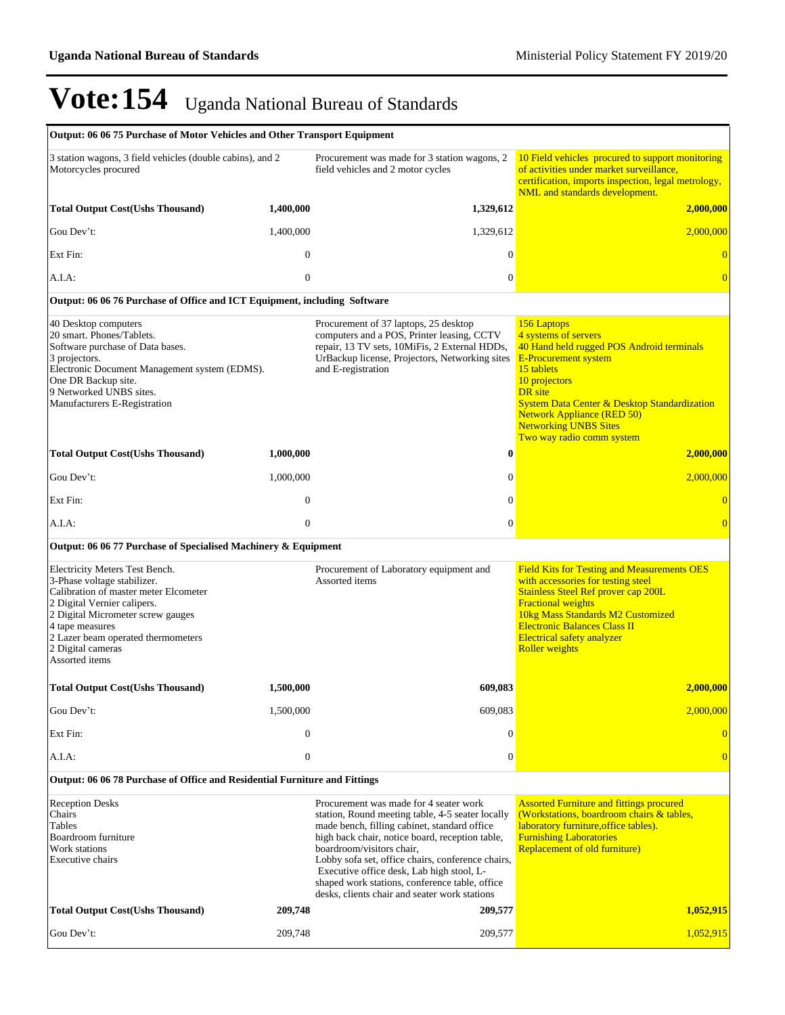| Output: 06 06 75 Purchase of Motor Vehicles and Other Transport Equipment                                                                                                                                                                                                  |                  |                                                                                                                                                                                                                                                                                                                                                                                                                                 |                                                                                                                                                                                                                                                                                                                        |
|----------------------------------------------------------------------------------------------------------------------------------------------------------------------------------------------------------------------------------------------------------------------------|------------------|---------------------------------------------------------------------------------------------------------------------------------------------------------------------------------------------------------------------------------------------------------------------------------------------------------------------------------------------------------------------------------------------------------------------------------|------------------------------------------------------------------------------------------------------------------------------------------------------------------------------------------------------------------------------------------------------------------------------------------------------------------------|
| 3 station wagons, 3 field vehicles (double cabins), and 2<br>Motorcycles procured                                                                                                                                                                                          |                  | Procurement was made for 3 station wagons, 2<br>field vehicles and 2 motor cycles                                                                                                                                                                                                                                                                                                                                               | 10 Field vehicles procured to support monitoring<br>of activities under market surveillance,<br>certification, imports inspection, legal metrology,<br>NML and standards development.                                                                                                                                  |
| <b>Total Output Cost(Ushs Thousand)</b>                                                                                                                                                                                                                                    | 1,400,000        | 1,329,612                                                                                                                                                                                                                                                                                                                                                                                                                       | <b>2,000,000</b>                                                                                                                                                                                                                                                                                                       |
| Gou Dev't:                                                                                                                                                                                                                                                                 | 1,400,000        | 1,329,612                                                                                                                                                                                                                                                                                                                                                                                                                       | 2,000,000                                                                                                                                                                                                                                                                                                              |
| Ext Fin:                                                                                                                                                                                                                                                                   | $\mathbf{0}$     | $\boldsymbol{0}$                                                                                                                                                                                                                                                                                                                                                                                                                | $\overline{0}$                                                                                                                                                                                                                                                                                                         |
| A.I.A.                                                                                                                                                                                                                                                                     | $\mathbf{0}$     | $\overline{0}$                                                                                                                                                                                                                                                                                                                                                                                                                  | $\Omega$                                                                                                                                                                                                                                                                                                               |
| Output: 06 06 76 Purchase of Office and ICT Equipment, including Software                                                                                                                                                                                                  |                  |                                                                                                                                                                                                                                                                                                                                                                                                                                 |                                                                                                                                                                                                                                                                                                                        |
| 40 Desktop computers<br>20 smart. Phones/Tablets.<br>Software purchase of Data bases.<br>3 projectors.<br>Electronic Document Management system (EDMS).<br>One DR Backup site.<br>9 Networked UNBS sites.<br>Manufacturers E-Registration                                  |                  | Procurement of 37 laptops, 25 desktop<br>computers and a POS, Printer leasing, CCTV<br>repair, 13 TV sets, 10MiFis, 2 External HDDs,<br>UrBackup license, Projectors, Networking sites<br>and E-registration                                                                                                                                                                                                                    | 156 Laptops<br>4 systems of servers<br>40 Hand held rugged POS Android terminals<br><b>E-Procurement system</b><br>15 tablets<br>10 projectors<br>DR site<br><b>System Data Center &amp; Desktop Standardization</b><br><b>Network Appliance (RED 50)</b><br><b>Networking UNBS Sites</b><br>Two way radio comm system |
| <b>Total Output Cost(Ushs Thousand)</b>                                                                                                                                                                                                                                    | 1,000,000        | $\bf{0}$                                                                                                                                                                                                                                                                                                                                                                                                                        | 2,000,000                                                                                                                                                                                                                                                                                                              |
| Gou Dev't:                                                                                                                                                                                                                                                                 | 1,000,000        | $\overline{0}$                                                                                                                                                                                                                                                                                                                                                                                                                  | 2,000,000                                                                                                                                                                                                                                                                                                              |
| Ext Fin:                                                                                                                                                                                                                                                                   | $\boldsymbol{0}$ | $\mathbf{0}$                                                                                                                                                                                                                                                                                                                                                                                                                    | $\overline{0}$                                                                                                                                                                                                                                                                                                         |
| A.I.A.                                                                                                                                                                                                                                                                     | $\mathbf{0}$     | $\boldsymbol{0}$                                                                                                                                                                                                                                                                                                                                                                                                                | $\overline{0}$                                                                                                                                                                                                                                                                                                         |
| Output: 06 06 77 Purchase of Specialised Machinery & Equipment                                                                                                                                                                                                             |                  |                                                                                                                                                                                                                                                                                                                                                                                                                                 |                                                                                                                                                                                                                                                                                                                        |
| Electricity Meters Test Bench.<br>3-Phase voltage stabilizer.<br>Calibration of master meter Elcometer<br>2 Digital Vernier calipers.<br>2 Digital Micrometer screw gauges<br>4 tape measures<br>2 Lazer beam operated thermometers<br>2 Digital cameras<br>Assorted items |                  | Procurement of Laboratory equipment and<br>Assorted items                                                                                                                                                                                                                                                                                                                                                                       | <b>Field Kits for Testing and Measurements OES</b><br>with accessories for testing steel<br>Stainless Steel Ref prover cap 200L<br><b>Fractional weights</b><br>10kg Mass Standards M2 Customized<br><b>Electronic Balances Class II</b><br><b>Electrical safety analyzer</b><br><b>Roller</b> weights                 |
| <b>Total Output Cost(Ushs Thousand)</b>                                                                                                                                                                                                                                    | 1,500,000        | 609,083                                                                                                                                                                                                                                                                                                                                                                                                                         | 2,000,000                                                                                                                                                                                                                                                                                                              |
| Gou Dev't:                                                                                                                                                                                                                                                                 | 1,500,000        | 609,083                                                                                                                                                                                                                                                                                                                                                                                                                         | 2,000,000                                                                                                                                                                                                                                                                                                              |
| Ext Fin:                                                                                                                                                                                                                                                                   | $\boldsymbol{0}$ | $\mathbf{0}$                                                                                                                                                                                                                                                                                                                                                                                                                    | $\overline{0}$                                                                                                                                                                                                                                                                                                         |
| A.I.A:                                                                                                                                                                                                                                                                     | $\mathbf{0}$     | 0                                                                                                                                                                                                                                                                                                                                                                                                                               | $\overline{0}$                                                                                                                                                                                                                                                                                                         |
| Output: 06 06 78 Purchase of Office and Residential Furniture and Fittings                                                                                                                                                                                                 |                  |                                                                                                                                                                                                                                                                                                                                                                                                                                 |                                                                                                                                                                                                                                                                                                                        |
| <b>Reception Desks</b><br>Chairs<br>Tables<br>Boardroom furniture<br>Work stations<br>Executive chairs                                                                                                                                                                     |                  | Procurement was made for 4 seater work<br>station, Round meeting table, 4-5 seater locally<br>made bench, filling cabinet, standard office<br>high back chair, notice board, reception table,<br>boardroom/visitors chair,<br>Lobby sofa set, office chairs, conference chairs,<br>Executive office desk, Lab high stool, L-<br>shaped work stations, conference table, office<br>desks, clients chair and seater work stations | <b>Assorted Furniture and fittings procured</b><br>(Workstations, boardroom chairs & tables,<br>laboratory furniture, office tables).<br><b>Furnishing Laboratories</b><br><b>Replacement of old furniture)</b>                                                                                                        |
| <b>Total Output Cost(Ushs Thousand)</b>                                                                                                                                                                                                                                    | 209,748          | 209,577                                                                                                                                                                                                                                                                                                                                                                                                                         | 1,052,915                                                                                                                                                                                                                                                                                                              |
| Gou Dev't:                                                                                                                                                                                                                                                                 | 209,748          | 209,577                                                                                                                                                                                                                                                                                                                                                                                                                         | 1,052,915                                                                                                                                                                                                                                                                                                              |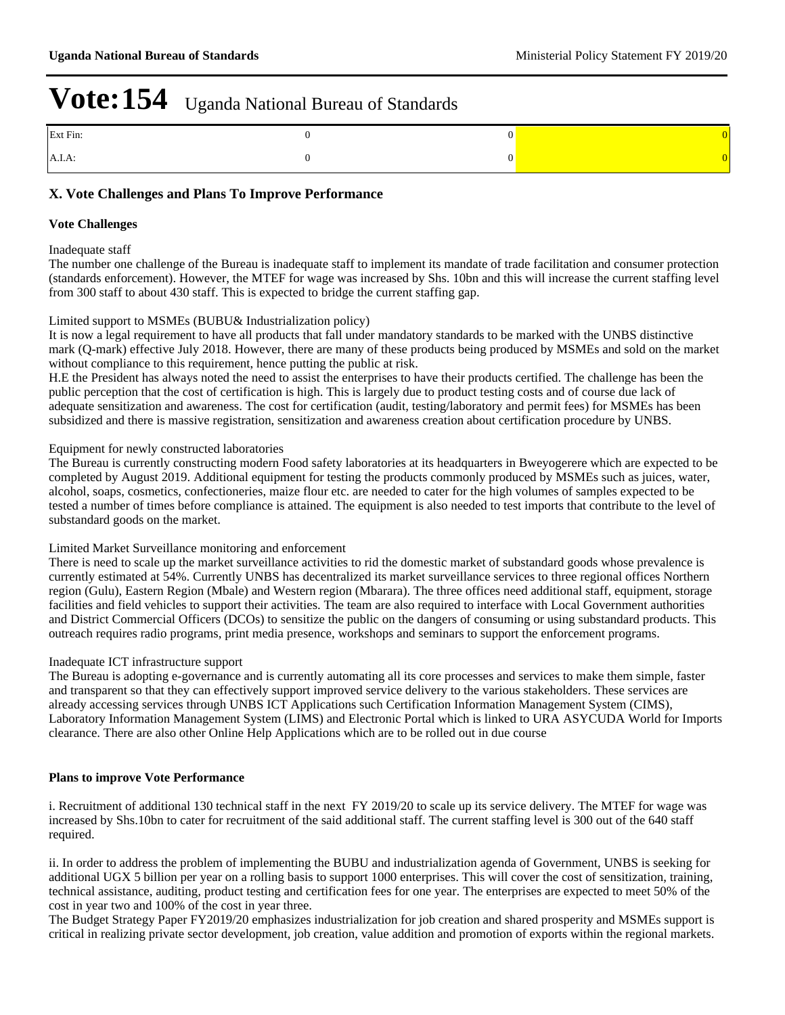| Ext Fin:  |  |
|-----------|--|
| $A.I.A$ : |  |

## **X. Vote Challenges and Plans To Improve Performance**

#### **Vote Challenges**

Inadequate staff

The number one challenge of the Bureau is inadequate staff to implement its mandate of trade facilitation and consumer protection (standards enforcement). However, the MTEF for wage was increased by Shs. 10bn and this will increase the current staffing level from 300 staff to about 430 staff. This is expected to bridge the current staffing gap.

#### Limited support to MSMEs (BUBU& Industrialization policy)

It is now a legal requirement to have all products that fall under mandatory standards to be marked with the UNBS distinctive mark (Q-mark) effective July 2018. However, there are many of these products being produced by MSMEs and sold on the market without compliance to this requirement, hence putting the public at risk.

H.E the President has always noted the need to assist the enterprises to have their products certified. The challenge has been the public perception that the cost of certification is high. This is largely due to product testing costs and of course due lack of adequate sensitization and awareness. The cost for certification (audit, testing/laboratory and permit fees) for MSMEs has been subsidized and there is massive registration, sensitization and awareness creation about certification procedure by UNBS.

#### Equipment for newly constructed laboratories

The Bureau is currently constructing modern Food safety laboratories at its headquarters in Bweyogerere which are expected to be completed by August 2019. Additional equipment for testing the products commonly produced by MSMEs such as juices, water, alcohol, soaps, cosmetics, confectioneries, maize flour etc. are needed to cater for the high volumes of samples expected to be tested a number of times before compliance is attained. The equipment is also needed to test imports that contribute to the level of substandard goods on the market.

#### Limited Market Surveillance monitoring and enforcement

There is need to scale up the market surveillance activities to rid the domestic market of substandard goods whose prevalence is currently estimated at 54%. Currently UNBS has decentralized its market surveillance services to three regional offices Northern region (Gulu), Eastern Region (Mbale) and Western region (Mbarara). The three offices need additional staff, equipment, storage facilities and field vehicles to support their activities. The team are also required to interface with Local Government authorities and District Commercial Officers (DCOs) to sensitize the public on the dangers of consuming or using substandard products. This outreach requires radio programs, print media presence, workshops and seminars to support the enforcement programs.

#### Inadequate ICT infrastructure support

The Bureau is adopting e-governance and is currently automating all its core processes and services to make them simple, faster and transparent so that they can effectively support improved service delivery to the various stakeholders. These services are already accessing services through UNBS ICT Applications such Certification Information Management System (CIMS), Laboratory Information Management System (LIMS) and Electronic Portal which is linked to URA ASYCUDA World for Imports clearance. There are also other Online Help Applications which are to be rolled out in due course

#### **Plans to improve Vote Performance**

i. Recruitment of additional 130 technical staff in the next FY 2019/20 to scale up its service delivery. The MTEF for wage was increased by Shs.10bn to cater for recruitment of the said additional staff. The current staffing level is 300 out of the 640 staff required.

ii. In order to address the problem of implementing the BUBU and industrialization agenda of Government, UNBS is seeking for additional UGX 5 billion per year on a rolling basis to support 1000 enterprises. This will cover the cost of sensitization, training, technical assistance, auditing, product testing and certification fees for one year. The enterprises are expected to meet 50% of the cost in year two and 100% of the cost in year three.

The Budget Strategy Paper FY2019/20 emphasizes industrialization for job creation and shared prosperity and MSMEs support is critical in realizing private sector development, job creation, value addition and promotion of exports within the regional markets.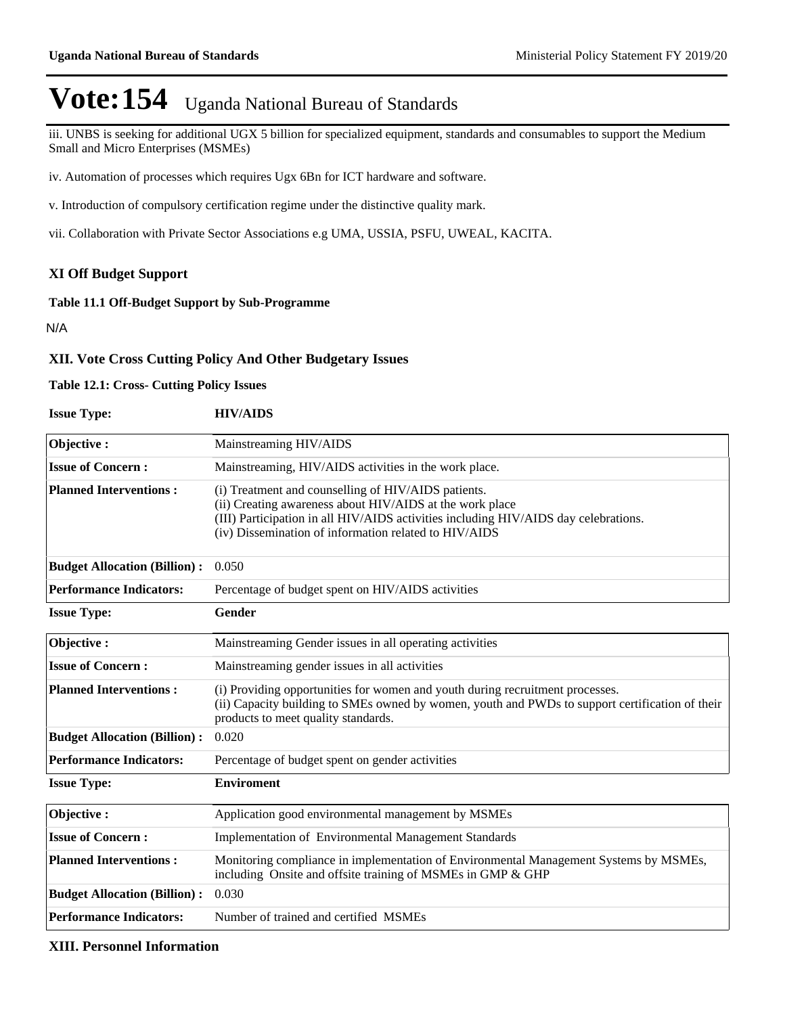iii. UNBS is seeking for additional UGX 5 billion for specialized equipment, standards and consumables to support the Medium Small and Micro Enterprises (MSMEs)

iv. Automation of processes which requires Ugx 6Bn for ICT hardware and software.

v. Introduction of compulsory certification regime under the distinctive quality mark.

vii. Collaboration with Private Sector Associations e.g UMA, USSIA, PSFU, UWEAL, KACITA.

## **XI Off Budget Support**

## **Table 11.1 Off-Budget Support by Sub-Programme**

N/A

## **XII. Vote Cross Cutting Policy And Other Budgetary Issues**

### **Table 12.1: Cross- Cutting Policy Issues**

| <b>Issue Type:</b> | <b>HIV/AIDS</b> |
|--------------------|-----------------|
|--------------------|-----------------|

| Objective:                          | Mainstreaming HIV/AIDS                                                                                                                                                                                                                                          |
|-------------------------------------|-----------------------------------------------------------------------------------------------------------------------------------------------------------------------------------------------------------------------------------------------------------------|
| <b>Issue of Concern:</b>            | Mainstreaming, HIV/AIDS activities in the work place.                                                                                                                                                                                                           |
| <b>Planned Interventions:</b>       | (i) Treatment and counselling of HIV/AIDS patients.<br>(ii) Creating awareness about HIV/AIDS at the work place<br>(III) Participation in all HIV/AIDS activities including HIV/AIDS day celebrations.<br>(iv) Dissemination of information related to HIV/AIDS |
| <b>Budget Allocation (Billion):</b> | 0.050                                                                                                                                                                                                                                                           |
| <b>Performance Indicators:</b>      | Percentage of budget spent on HIV/AIDS activities                                                                                                                                                                                                               |
| <b>Issue Type:</b>                  | Gender                                                                                                                                                                                                                                                          |
| Objective:                          | Mainstreaming Gender issues in all operating activities                                                                                                                                                                                                         |
| <b>Issue of Concern:</b>            | Mainstreaming gender issues in all activities                                                                                                                                                                                                                   |
| <b>Planned Interventions:</b>       | (i) Providing opportunities for women and youth during recruitment processes.<br>(ii) Capacity building to SMEs owned by women, youth and PWDs to support certification of their<br>products to meet quality standards.                                         |
| <b>Budget Allocation (Billion):</b> | 0.020                                                                                                                                                                                                                                                           |
| <b>Performance Indicators:</b>      | Percentage of budget spent on gender activities                                                                                                                                                                                                                 |
| <b>Issue Type:</b>                  | <b>Enviroment</b>                                                                                                                                                                                                                                               |
| Objective:                          | Application good environmental management by MSMEs                                                                                                                                                                                                              |
| <b>Issue of Concern:</b>            | <b>Implementation of Environmental Management Standards</b>                                                                                                                                                                                                     |
| <b>Planned Interventions:</b>       | Monitoring compliance in implementation of Environmental Management Systems by MSMEs,<br>including Onsite and offsite training of MSMEs in GMP & GHP                                                                                                            |
| <b>Budget Allocation (Billion):</b> | 0.030                                                                                                                                                                                                                                                           |
| <b>Performance Indicators:</b>      | Number of trained and certified MSMEs                                                                                                                                                                                                                           |

### **XIII. Personnel Information**